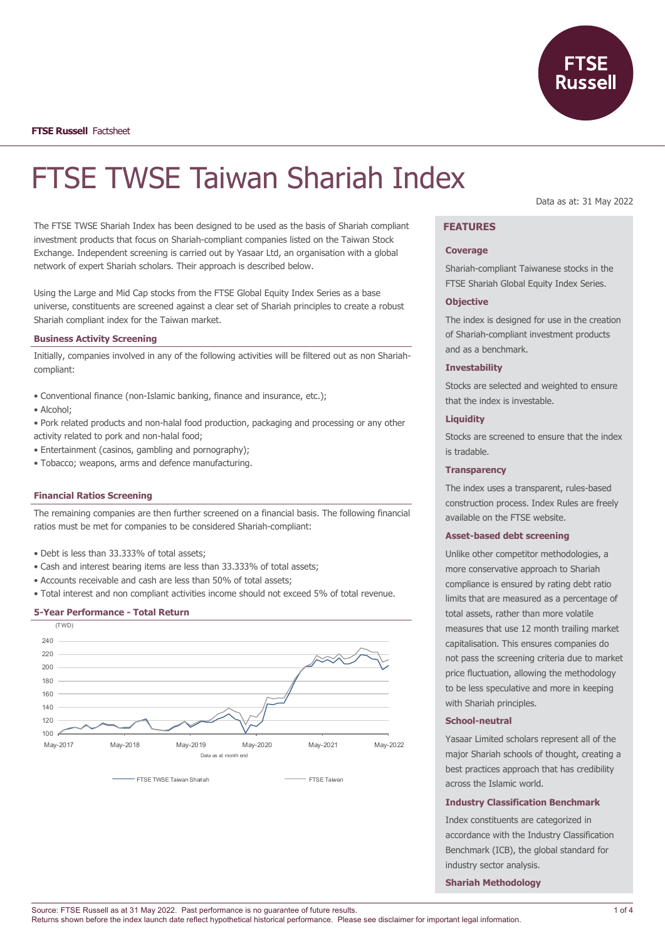

**FTSE Russell** Factsheet

# FTSE TWSE Taiwan Shariah Index

The FTSE TWSE Shariah Index has been designed to be used as the basis of Shariah compliant investment products that focus on Shariah-compliant companies listed on the Taiwan Stock Exchange. Independent screening is carried out by Yasaar Ltd, an organisation with a global network of expert Shariah scholars. Their approach is described below.

Using the Large and Mid Cap stocks from the FTSE Global Equity Index Series as a base universe, constituents are screened against a clear set of Shariah principles to create a robust Shariah compliant index for the Taiwan market.

#### **Business Activity Screening**

Initially, companies involved in any of the following activities will be filtered out as non Shariahcompliant:

- Conventional finance (non-Islamic banking, finance and insurance, etc.);
- Alcohol;
- Pork related products and non-halal food production, packaging and processing or any other activity related to pork and non-halal food;
- Entertainment (casinos, gambling and pornography);
- Tobacco; weapons, arms and defence manufacturing.

#### **Financial Ratios Screening**

The remaining companies are then further screened on a financial basis. The following financial ratios must be met for companies to be considered Shariah-compliant:

- Debt is less than 33.333% of total assets;
- Cash and interest bearing items are less than 33.333% of total assets;
- Accounts receivable and cash are less than 50% of total assets;
- Total interest and non compliant activities income should not exceed 5% of total revenue.

#### **5-Year Performance - Total Return**



Data as at: 31 May 2022

# **FEATURES**

#### **Coverage**

Shariah-compliant Taiwanese stocks in the FTSE Shariah Global Equity Index Series.

#### **Objective**

The index is designed for use in the creation of Shariah-compliant investment products and as a benchmark.

### **Investability**

Stocks are selected and weighted to ensure that the index is investable.

#### **Liquidity**

Stocks are screened to ensure that the index is tradable.

## **Transparency**

The index uses a transparent, rules-based construction process. Index Rules are freely available on the FTSE website.

#### **Asset-based debt screening**

Unlike other competitor methodologies, a more conservative approach to Shariah compliance is ensured by rating debt ratio limits that are measured as a percentage of total assets, rather than more volatile measures that use 12 month trailing market capitalisation. This ensures companies do not pass the screening criteria due to market price fluctuation, allowing the methodology to be less speculative and more in keeping with Shariah principles.

#### **School-neutral**

Yasaar Limited scholars represent all of the major Shariah schools of thought, creating a best practices approach that has credibility across the Islamic world.

#### **Industry Classification Benchmark**

Index constituents are categorized in accordance with the Industry Classification Benchmark (ICB), the global standard for industry sector analysis.

**Shariah Methodology**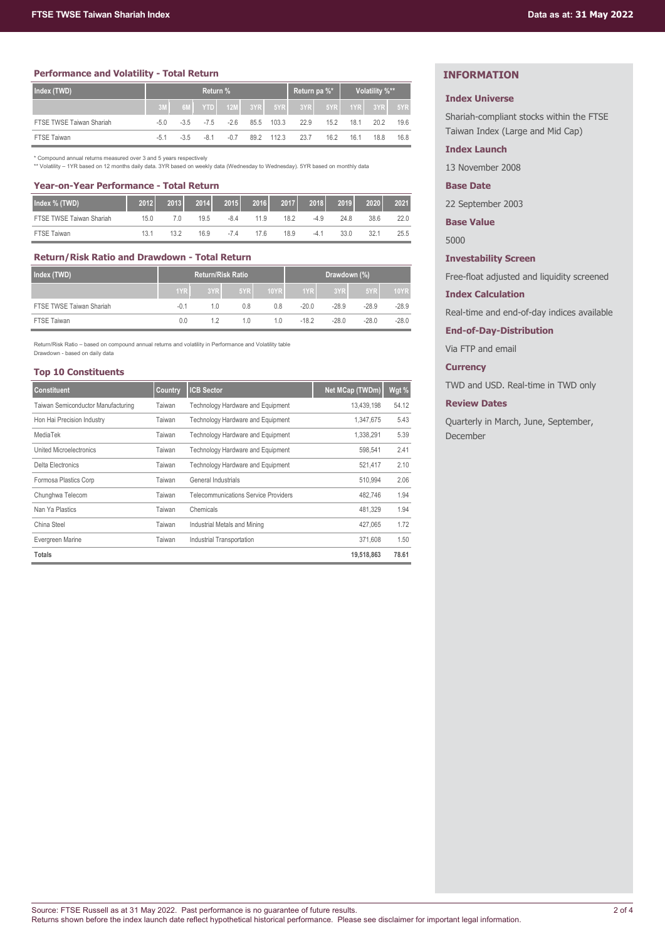## **Performance and Volatility - Total Return**

| Index (TWD)              | <b>Return %</b> |        |             |                 |      |            | Return pa %* |      | Volatility %** |             |      |
|--------------------------|-----------------|--------|-------------|-----------------|------|------------|--------------|------|----------------|-------------|------|
|                          |                 | 6M     |             | YTD 12M 3YR 5YR |      |            | 3YR          | 5YR  |                | 1YR 3YR 5YR |      |
| FTSE TWSE Taiwan Shariah | $-5.0$          |        | $-3.5 -7.5$ | $-2.6$          |      | 85.5 103.3 | 22.9         | 15.2 | 18.1           | 20.2        | 19.6 |
| <b>FTSE Taiwan</b>       | $-5.1$          | $-3.5$ | -81         | $-0.7$          | 89.2 | 112.3      | 23.7         | 16.2 | 16.1           | 18.8        | 16.8 |

\* Compound annual returns measured over 3 and 5 years respectively

\*\* Volatility – 1YR based on 12 months daily data. 3YR based on weekly data (Wednesday to Wednesday). 5YR based on monthly data

## **Year-on-Year Performance - Total Return**

| Index % (TWD)            | 2012 | 2013 | 2014 | 2015   | 2016 | 2017 | 2018   | 2019 | 2020 | 2021 |
|--------------------------|------|------|------|--------|------|------|--------|------|------|------|
| FTSE TWSE Taiwan Shariah | 15.0 | 7.0  | 19.5 | $-8.4$ | 11.9 | 18.2 | $-4.9$ | 24.8 | 38.6 | 22.0 |
| <b>FTSE Taiwan</b>       | 13.1 | 13.2 | 16.9 | $-7.4$ | 17 6 | 18.9 | $-4.1$ | 33.0 | 32.1 | 25.5 |

## **Return/Risk Ratio and Drawdown - Total Return**

| Index (TWD)              |        | <b>Return/Risk Ratio</b> |     | Drawdown (%) |         |         |         |             |
|--------------------------|--------|--------------------------|-----|--------------|---------|---------|---------|-------------|
|                          | 1YR    | 3YR                      | 5YR | <b>10YR</b>  | 1YR     | 3YR     | 5YR     | <b>10YR</b> |
| FTSE TWSE Taiwan Shariah | $-0.1$ | 1.0                      | 0.8 | 0.8          | -20.0   | $-28.9$ | $-28.9$ | $-28.9$     |
| <b>FTSE Taiwan</b>       | 0.0    |                          | 10  | 10           | $-18.2$ | $-28.0$ | $-28.0$ | $-28.0$     |

Return/Risk Ratio – based on compound annual returns and volatility in Performance and Volatility table Drawdown - based on daily data

## **Top 10 Constituents**

| <b>Constituent</b>                 | Country | <b>ICB Sector</b>                           | Net MCap (TWDm) | Wgt % |
|------------------------------------|---------|---------------------------------------------|-----------------|-------|
| Taiwan Semiconductor Manufacturing | Taiwan  | Technology Hardware and Equipment           | 13,439,198      | 54.12 |
| Hon Hai Precision Industry         | Taiwan  | Technology Hardware and Equipment           | 1,347,675       | 5.43  |
| MediaTek                           | Taiwan  | Technology Hardware and Equipment           | 1,338,291       | 5.39  |
| United Microelectronics            | Taiwan  | Technology Hardware and Equipment           | 598,541         | 2.41  |
| Delta Electronics                  | Taiwan  | Technology Hardware and Equipment           | 521,417         | 2.10  |
| Formosa Plastics Corp              | Taiwan  | General Industrials                         | 510,994         | 2.06  |
| Chunghwa Telecom                   | Taiwan  | <b>Telecommunications Service Providers</b> | 482.746         | 1.94  |
| Nan Ya Plastics                    | Taiwan  | Chemicals                                   | 481.329         | 1.94  |
| China Steel                        | Taiwan  | Industrial Metals and Mining                | 427.065         | 1.72  |
| Evergreen Marine                   | Taiwan  | Industrial Transportation                   | 371,608         | 1.50  |
| <b>Totals</b>                      |         |                                             | 19,518,863      | 78.61 |

# **INFORMATION**

#### **Index Universe**

Shariah-compliant stocks within the FTSE Taiwan Index (Large and Mid Cap)

## **Index Launch**

13 November 2008

## **Base Date**

22 September 2003

**Base Value**

5000

# **Investability Screen**

Free-float adjusted and liquidity screened

## **Index Calculation**

Real-time and end-of-day indices available

**End-of-Day-Distribution**

Via FTP and email

# **Currency**

TWD and USD. Real-time in TWD only

## **Review Dates**

Quarterly in March, June, September, December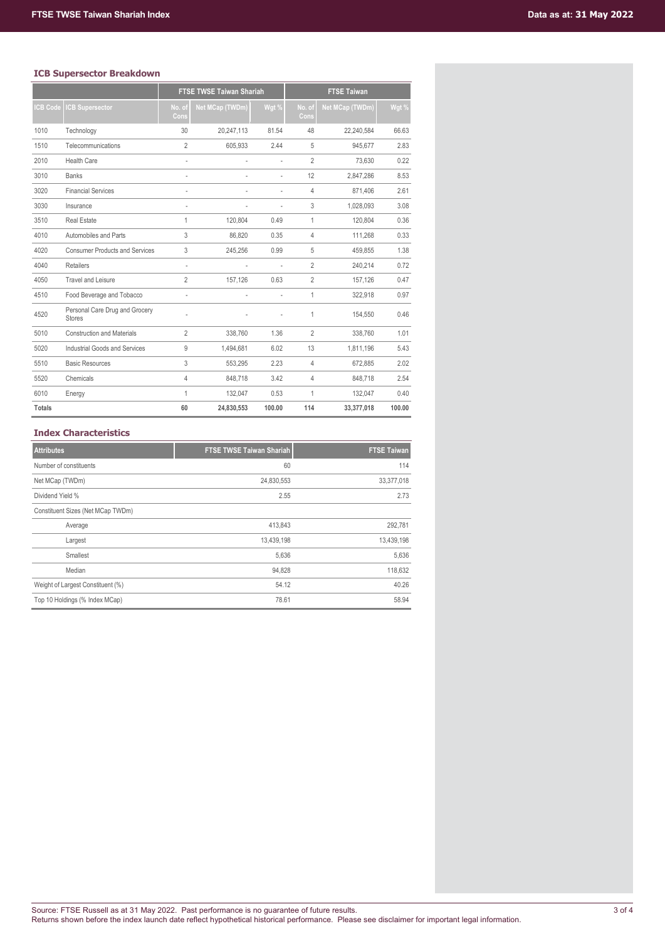# **ICB Supersector Breakdown**

|                |                                                 | <b>FTSE TWSE Taiwan Shariah</b> |                 |        | <b>FTSE Taiwan</b> |                        |        |  |
|----------------|-------------------------------------------------|---------------------------------|-----------------|--------|--------------------|------------------------|--------|--|
| <b>CB Code</b> | <b>CB Supersector</b>                           | No. of<br>Cons                  | Net MCap (TWDm) | Wgt %  | No. of<br>Cons     | <b>Net MCap (TWDm)</b> | Wgt %  |  |
| 1010           | Technology                                      | 30                              | 20,247,113      | 81.54  | 48                 | 22,240,584             | 66.63  |  |
| 1510           | Telecommunications                              | $\overline{2}$                  | 605,933         | 2.44   | 5                  | 945,677                | 2.83   |  |
| 2010           | <b>Health Care</b>                              | $\overline{\phantom{a}}$        |                 | L.     | $\overline{2}$     | 73,630                 | 0.22   |  |
| 3010           | <b>Banks</b>                                    | $\overline{a}$                  |                 |        | 12                 | 2,847,286              | 8.53   |  |
| 3020           | <b>Financial Services</b>                       |                                 |                 |        | 4                  | 871,406                | 2.61   |  |
| 3030           | Insurance                                       | i.                              |                 | $\sim$ | 3                  | 1,028,093              | 3.08   |  |
| 3510           | <b>Real Estate</b>                              | 1                               | 120,804         | 0.49   | 1                  | 120.804                | 0.36   |  |
| 4010           | Automobiles and Parts                           | 3                               | 86,820          | 0.35   | $\overline{4}$     | 111,268                | 0.33   |  |
| 4020           | <b>Consumer Products and Services</b>           | 3                               | 245,256         | 0.99   | 5                  | 459,855                | 1.38   |  |
| 4040           | <b>Retailers</b>                                | i.                              |                 | ÷,     | $\overline{2}$     | 240,214                | 0.72   |  |
| 4050           | Travel and Leisure                              | $\overline{2}$                  | 157,126         | 0.63   | $\overline{2}$     | 157,126                | 0.47   |  |
| 4510           | Food Beverage and Tobacco                       | L                               |                 |        | 1                  | 322,918                | 0.97   |  |
| 4520           | Personal Care Drug and Grocery<br><b>Stores</b> |                                 |                 |        | 1                  | 154,550                | 0.46   |  |
| 5010           | <b>Construction and Materials</b>               | $\overline{2}$                  | 338.760         | 1.36   | $\overline{2}$     | 338.760                | 1.01   |  |
| 5020           | Industrial Goods and Services                   | 9                               | 1,494,681       | 6.02   | 13                 | 1,811,196              | 5.43   |  |
| 5510           | <b>Basic Resources</b>                          | 3                               | 553,295         | 2.23   | $\overline{4}$     | 672,885                | 2.02   |  |
| 5520           | Chemicals                                       | $\overline{4}$                  | 848,718         | 3.42   | $\overline{4}$     | 848,718                | 2.54   |  |
| 6010           | Energy                                          | 1                               | 132,047         | 0.53   | 1                  | 132,047                | 0.40   |  |
| <b>Totals</b>  |                                                 | 60                              | 24,830,553      | 100.00 | 114                | 33,377,018             | 100.00 |  |

## **Index Characteristics**

| <b>Attributes</b>                 | <b>FTSE TWSE Taiwan Shariah</b> | <b>FTSE Taiwan</b> |
|-----------------------------------|---------------------------------|--------------------|
| Number of constituents            | 60                              | 114                |
| Net MCap (TWDm)                   | 24,830,553                      | 33, 377, 018       |
| Dividend Yield %                  | 2.55                            | 2.73               |
| Constituent Sizes (Net MCap TWDm) |                                 |                    |
| Average                           | 413,843                         | 292,781            |
| Largest                           | 13,439,198                      | 13,439,198         |
| Smallest                          | 5,636                           | 5,636              |
| Median                            | 94,828                          | 118,632            |
| Weight of Largest Constituent (%) | 54.12                           | 40.26              |
| Top 10 Holdings (% Index MCap)    | 78.61                           | 58.94              |